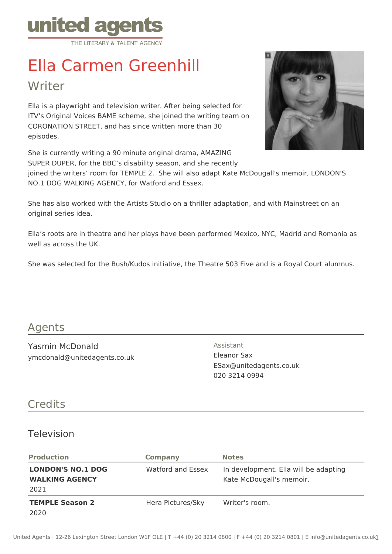

# Ella Carmen Greenhill

Writer

Ella is a playwright and television writer. After being selected for ITV's Original Voices BAME scheme, she joined the writing team on CORONATION STREET, and has since written more than 30 episodes.

She is currently writing a 90 minute original drama, AMAZING SUPER DUPER, for the BBC's disability season, and she recently

joined the writers' room for TEMPLE 2. She will also adapt Kate McDougall's memoir, LONDON'S NO.1 DOG WALKING AGENCY, for Watford and Essex.

She has also worked with the Artists Studio on a thriller adaptation, and with Mainstreet on an original series idea.

Ella's roots are in theatre and her plays have been performed Mexico, NYC, Madrid and Romania as well as across the UK.

She was selected for the Bush/Kudos initiative, the Theatre 503 Five and is a Royal Court alumnus.

### Agents

Yasmin McDonald ymcdonald@unitedagents.co.uk Assistant Eleanor Sax ESax@unitedagents.co.uk 020 3214 0994

## **Credits**

#### Television

| <b>Production</b>                                         | <b>Company</b>    | <b>Notes</b>                                                      |
|-----------------------------------------------------------|-------------------|-------------------------------------------------------------------|
| <b>LONDON'S NO.1 DOG</b><br><b>WALKING AGENCY</b><br>2021 | Watford and Essex | In development. Ella will be adapting<br>Kate McDougall's memoir. |
| <b>TEMPLE Season 2</b><br>2020                            | Hera Pictures/Sky | Writer's room.                                                    |

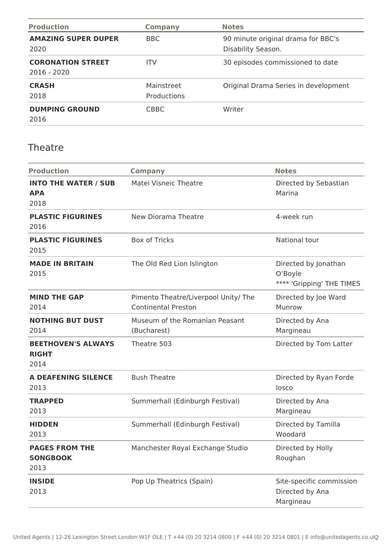| <b>Production</b>                         | <b>Company</b>            | <b>Notes</b>                                             |
|-------------------------------------------|---------------------------|----------------------------------------------------------|
| <b>AMAZING SUPER DUPER</b><br>2020        | BBC.                      | 90 minute original drama for BBC's<br>Disability Season. |
| <b>CORONATION STREET</b><br>$2016 - 2020$ | <b>ITV</b>                | 30 episodes commissioned to date                         |
| <b>CRASH</b><br>2018                      | Mainstreet<br>Productions | Original Drama Series in development                     |
| <b>DUMPING GROUND</b><br>2016             | <b>CBBC</b>               | Writer                                                   |

#### Theatre

| <b>Production</b>                                 | <b>Company</b>                                                     | <b>Notes</b>                                                 |
|---------------------------------------------------|--------------------------------------------------------------------|--------------------------------------------------------------|
| <b>INTO THE WATER / SUB</b><br><b>APA</b><br>2018 | Matei Visneic Theatre                                              | Directed by Sebastian<br>Marina                              |
| <b>PLASTIC FIGURINES</b><br>2016                  | New Diorama Theatre                                                | 4-week run                                                   |
| <b>PLASTIC FIGURINES</b><br>2015                  | <b>Box of Tricks</b>                                               | National tour                                                |
| <b>MADE IN BRITAIN</b><br>2015                    | The Old Red Lion Islington                                         | Directed by Jonathan<br>O'Boyle<br>**** 'Gripping' THE TIMES |
| <b>MIND THE GAP</b><br>2014                       | Pimento Theatre/Liverpool Unity/ The<br><b>Continental Preston</b> | Directed by Joe Ward<br>Munrow                               |
| <b>NOTHING BUT DUST</b><br>2014                   | Museum of the Romanian Peasant<br>(Bucharest)                      | Directed by Ana<br>Margineau                                 |
| <b>BEETHOVEN'S ALWAYS</b><br><b>RIGHT</b><br>2014 | Theatre 503                                                        | Directed by Tom Latter                                       |
| <b>A DEAFENING SILENCE</b><br>2013                | <b>Bush Theatre</b>                                                | Directed by Ryan Forde<br>losco                              |
| <b>TRAPPED</b><br>2013                            | Summerhall (Edinburgh Festival)                                    | Directed by Ana<br>Margineau                                 |
| <b>HIDDEN</b><br>2013                             | Summerhall (Edinburgh Festival)                                    | Directed by Tamilla<br>Woodard                               |
| <b>PAGES FROM THE</b><br><b>SONGBOOK</b><br>2013  | Manchester Royal Exchange Studio                                   | Directed by Holly<br>Roughan                                 |
| <b>INSIDE</b><br>2013                             | Pop Up Theatrics (Spain)                                           | Site-specific commission<br>Directed by Ana<br>Margineau     |